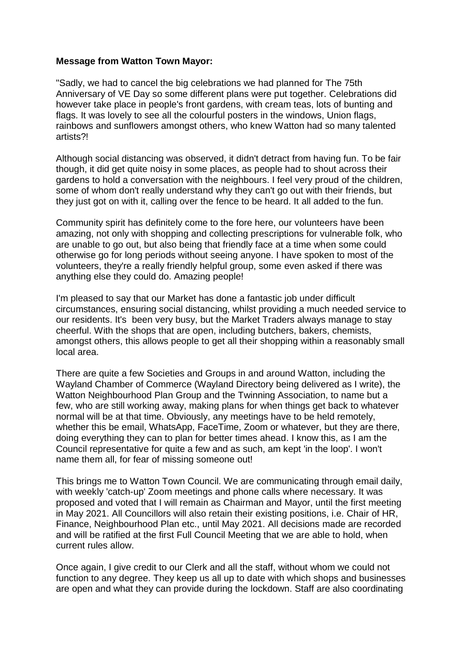## **Message from Watton Town Mayor:**

"Sadly, we had to cancel the big celebrations we had planned for The 75th Anniversary of VE Day so some different plans were put together. Celebrations did however take place in people's front gardens, with cream teas, lots of bunting and flags. It was lovely to see all the colourful posters in the windows, Union flags, rainbows and sunflowers amongst others, who knew Watton had so many talented artists?!

Although social distancing was observed, it didn't detract from having fun. To be fair though, it did get quite noisy in some places, as people had to shout across their gardens to hold a conversation with the neighbours. I feel very proud of the children, some of whom don't really understand why they can't go out with their friends, but they just got on with it, calling over the fence to be heard. It all added to the fun.

Community spirit has definitely come to the fore here, our volunteers have been amazing, not only with shopping and collecting prescriptions for vulnerable folk, who are unable to go out, but also being that friendly face at a time when some could otherwise go for long periods without seeing anyone. I have spoken to most of the volunteers, they're a really friendly helpful group, some even asked if there was anything else they could do. Amazing people!

I'm pleased to say that our Market has done a fantastic job under difficult circumstances, ensuring social distancing, whilst providing a much needed service to our residents. It's been very busy, but the Market Traders always manage to stay cheerful. With the shops that are open, including butchers, bakers, chemists, amongst others, this allows people to get all their shopping within a reasonably small local area.

There are quite a few Societies and Groups in and around Watton, including the Wayland Chamber of Commerce (Wayland Directory being delivered as I write), the Watton Neighbourhood Plan Group and the Twinning Association, to name but a few, who are still working away, making plans for when things get back to whatever normal will be at that time. Obviously, any meetings have to be held remotely, whether this be email, WhatsApp, FaceTime, Zoom or whatever, but they are there, doing everything they can to plan for better times ahead. I know this, as I am the Council representative for quite a few and as such, am kept 'in the loop'. I won't name them all, for fear of missing someone out!

This brings me to Watton Town Council. We are communicating through email daily, with weekly 'catch-up' Zoom meetings and phone calls where necessary. It was proposed and voted that I will remain as Chairman and Mayor, until the first meeting in May 2021. All Councillors will also retain their existing positions, i.e. Chair of HR, Finance, Neighbourhood Plan etc., until May 2021. All decisions made are recorded and will be ratified at the first Full Council Meeting that we are able to hold, when current rules allow.

Once again, I give credit to our Clerk and all the staff, without whom we could not function to any degree. They keep us all up to date with which shops and businesses are open and what they can provide during the lockdown. Staff are also coordinating